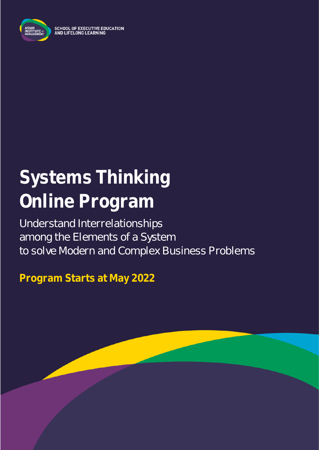

**SCHOOL OF EXECUTIVE EDUCATION** AND LIFELONG LEARNING

# **Systems Thinking Online Program**

Understand Interrelationships among the Elements of a System to solve Modern and Complex Business Problems

**Program Starts at May 2022**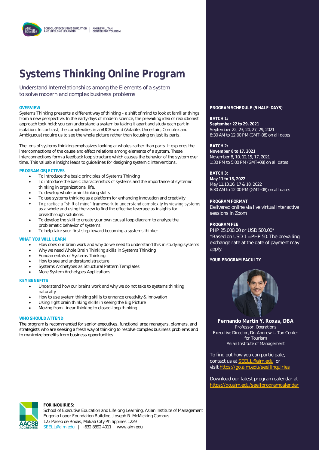## **Systems Thinking Online Program**

Understand Interrelationships among the Elements of a system to solve modern and complex business problems

Systems Thinking presents a different way of thinking - a shift of mind to look at familiar things from a new perspective. In the early days of modern science, the prevailing idea of reductionist approach took hold: you can understand a system by taking it apart and study each part in isolation. In contrast, the complexities in a VUCA world (Volatile, Uncertain, Complex and Ambiguous) require us to see the whole picture rather than focusing on just its parts.

The lens of systems thinking emphasizes looking at wholes rather than parts. It explores the interconnections of the cause and effect relations among elements of a system. These interconnections form a feedback loop structure which causes the behavior of the system over time. This valuable insight leads to guidelines for designing systemic interventions.

#### **PROGRAM OBJECTIVES**

- To introduce the basic principles of Systems Thinking
- To introduce the basic characteristics of systems and the importance of systemic thinking in organizational life.
- To develop whole brain thinking skills
- To use systems thinking as a platform for enhancing innovation and creativity
- To practice a "shift of mind" framework to understand complexity by viewing systems • as a whole and using the view to find the effective leverage as insights for breakthrough solutions.
- To develop the skill to create your own causal loop diagram to analyze the problematic behavior of systems
- To help take your first step toward becoming a systems thinker

#### **WHAT YOU WILL LEARN**

- How does our brain work and why do we need to understand this in studying systems
- Why we need Whole Brain Thinking skills in Systems Thinking
- Fundamentals of Systems Thinking
- How to see and understand structure
- Systems Archetypes as Structural Pattern Templates
- More System Archetypes Applications

#### **KEY BENEFITS**

- Understand how our brains work and why we do not take to systems thinking naturally
- How to use system thinking skills to enhance creativity & innovation
- Using right brain thinking skills in seeing the Big Picture
- Moving from Linear thinking to closed-loop thinking

#### **WHO SHOULD ATTEND**

The program is recommended for senior executives, functional area managers, planners, and strategists who are seeking a fresh way of thinking to resolve complex business problems and to maximize benefits from business opportunities.

### **OVERVIEW PROGRAM SCHEDULE (5 HALF-DAYS)**

**BATCH 1: September 22 to 29, 2021** September 22, 23, 24, 27, 29, 2021 8:30 AM to 12:00 PM (GMT+08) on all dates

#### **BATCH 2:**

**November 8 to 17, 2021** November 8, 10, 12,15, 17, 2021 1:30 PM to 5:00 PM (GMT+08) on all dates

#### **BATCH 3:**

**May 11 to 18, 2022** May 11,13,16, 17 & 18, 2022 8:30 AM to 12:00 PM (GMT+08) on all dates

#### **PROGRAM FORMAT**

Delivered online via live virtual interactive sessions in Zoom

#### **PROGRAM FEE**

PHP 25,000.00 or USD 500.00\* \*Based on USD 1 = PHP 50. The prevailing exchange rate at the date of payment may apply.

#### YOUR PROGRAM FACULTY



**Fernando Martin Y. Roxas, DBA** Professor, Operations Executive Director, Dr. Andrew L. Tan Center for Tourism Asian Institute of Management

To find out how you can participate, contact us at [SEELL@aim.edu](mailto:SEELL@aim.edu) or visit<https://go.aim.edu/seellinquiries>

Download our latest program calendar at <https://go.aim.edu/seellprogramcalendar>



#### **FOR INQUIRIES:**

School of Executive Education and Lifelong Learning, Asian Institute of Management Eugenio Lopez Foundation Building, Joseph R. McMicking Campus 123 Paseo de Roxas, Makati City Philippines 1229 [SEELL@aim.edu](mailto:SEELL@aim.edu) | +632 8892 4011 | www.aim.edu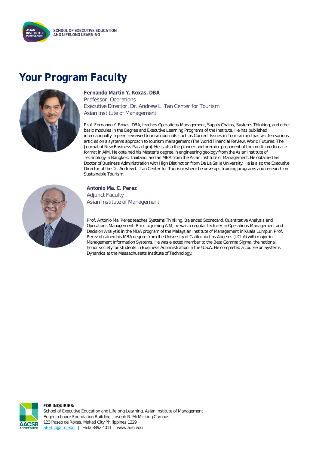

### **Your Program Faculty**



**Fernando Martin Y. Roxas, DBA** Professor, Operations Executive Director, Dr. Andrew L. Tan Center for Tourism Asian Institute of Management

Prof. Fernando Y. Roxas, DBA, teaches Operations Management, Supply Chains, Systems Thinking, and other basic modules in the Degree and Executive Learning Programs of the Institute. He has published internationally in peer-reviewed tourism journals such as Current Issues in Tourism and has written various articles on a systems approach to tourism management (The World Financial Review, World Futures: The Journal of New Business Paradigm). He is also the pioneer and premier proponent of the multi-media case format in AIM. He obtained his Master's degree in engineering geology from the Asian Institute of Technology in Bangkok, Thailand, and an MBA from the Asian Institute of Management. He obtained his Doctor of Business Administration with High Distinction from De La Salle University. He is also the Executive Director of the Dr. Andrew L. Tan Center for Tourism where he develops training programs and research on Sustainable Tourism.



**Antonio Ma. C. Perez** Adjunct Faculty Asian Institute of Management

Prof. Antonio Ma. Perez teaches Systems Thinking, Balanced Scorecard, Quantitative Analysis and Operations Management. Prior to joining AIM, he was a regular lecturer in Operations Management and Decision Analysis in the MBA program of the Malaysian Institute of Management in Kuala Lumpur. Prof. Perez obtained his MBA degree from the University of California Los Angeles (UCLA) with major in Management Information Systems. He was elected member to the Beta Gamma Sigma, the national honor society for students in Business Administration in the U.S.A. He completed a course on Systems Dynamics at the Massachusetts Institute of Technology.



**FOR INQUIRIES:** School of Executive Education and Lifelong Learning, Asian Institute of Management Eugenio Lopez Foundation Building, Joseph R. McMicking Campus 123 Paseo de Roxas, Makati City Philippines 1229 [SEELL@aim.edu](mailto:SEELL@aim.edu) | +632 8892 4011 | www.aim.edu